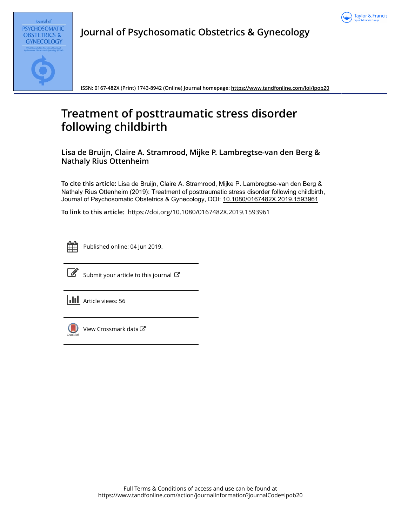





**ISSN: 0167-482X (Print) 1743-8942 (Online) Journal homepage: <https://www.tandfonline.com/loi/ipob20>**

# **Treatment of posttraumatic stress disorder following childbirth**

**Lisa de Bruijn, Claire A. Stramrood, Mijke P. Lambregtse-van den Berg & Nathaly Rius Ottenheim**

**To cite this article:** Lisa de Bruijn, Claire A. Stramrood, Mijke P. Lambregtse-van den Berg & Nathaly Rius Ottenheim (2019): Treatment of posttraumatic stress disorder following childbirth, Journal of Psychosomatic Obstetrics & Gynecology, DOI: [10.1080/0167482X.2019.1593961](https://www.tandfonline.com/action/showCitFormats?doi=10.1080/0167482X.2019.1593961)

**To link to this article:** <https://doi.org/10.1080/0167482X.2019.1593961>



Published online: 04 Jun 2019.



 $\overline{\mathscr{L}}$  [Submit your article to this journal](https://www.tandfonline.com/action/authorSubmission?journalCode=ipob20&show=instructions)  $\mathbb{F}$ 

**III** Article views: 56



[View Crossmark data](http://crossmark.crossref.org/dialog/?doi=10.1080/0167482X.2019.1593961&domain=pdf&date_stamp=2019-06-04)<sup></sup>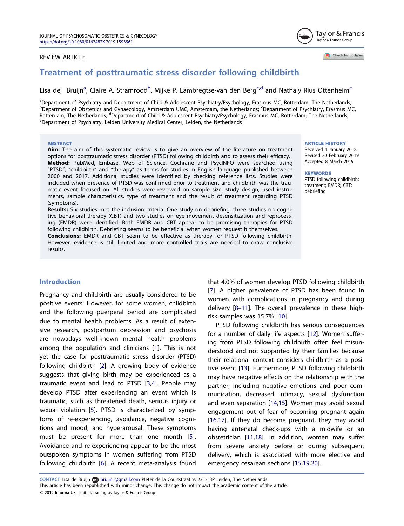#### <span id="page-1-0"></span>REVIEW ARTICLE

Tavlor & Francis Taylor & Francis Group

Check for updates

## Treatment of posttraumatic stress disorder following childbirth

Lisa de, Bruijn<sup>a</sup>, Claire A. Stramrood<sup>b</sup>, Mijke P. Lambregtse-van den Berg<sup>c,d</sup> and Nathaly Rius Ottenheim<sup>e</sup>

<sup>a</sup>Department of Psychiatry and Department of Child & Adolescent Psychiatry/Psychology, Erasmus MC, Rotterdam, The Netherlands; <sup>b</sup>Department of Obstetrics and Gynaecology, Amsterdam UMC, Amsterdam, the Netherlands; <sup>c</sup>Department of Psychiatry, Erasmus MC, Rotterdam, The Netherlands; <sup>d</sup>Department of Child & Adolescent Psychiatry/Psychology, Erasmus MC, Rotterdam, The Netherlands;<br><sup>e</sup>Department of Psychiatry, Leiden University Modical Center, Leiden, the Netherlands Department of Psychiatry, Leiden University Medical Center, Leiden, the Netherlands

#### ABSTRACT

**Aim:** The aim of this systematic review is to give an overview of the literature on treatment options for posttraumatic stress disorder (PTSD) following childbirth and to assess their efficacy. Method: PubMed, Embase, Web of Science, Cochrane and PsycINFO were searched using "PTSD", "childbirth" and "therapy" as terms for studies in English language published between 2000 and 2017. Additional studies were identified by checking reference lists. Studies were included when presence of PTSD was confirmed prior to treatment and childbirth was the traumatic event focused on. All studies were reviewed on sample size, study design, used instruments, sample characteristics, type of treatment and the result of treatment regarding PTSD (symptoms).

Results: Six studies met the inclusion criteria. One study on debriefing, three studies on cognitive behavioral therapy (CBT) and two studies on eye movement desensitization and reprocessing (EMDR) were identified. Both EMDR and CBT appear to be promising therapies for PTSD following childbirth. Debriefing seems to be beneficial when women request it themselves. Conclusions: EMDR and CBT seem to be effective as therapy for PTSD following childbirth.

However, evidence is still limited and more controlled trials are needed to draw conclusive results.

#### Introduction

Pregnancy and childbirth are usually considered to be positive events. However, for some women, childbirth and the following puerperal period are complicated due to mental health problems. As a result of extensive research, postpartum depression and psychosis are nowadays well-known mental health problems among the population and clinicians [[1\]](#page-9-0). This is not yet the case for posttraumatic stress disorder (PTSD) following childbirth [\[2](#page-9-0)]. A growing body of evidence suggests that giving birth may be experienced as a traumatic event and lead to PTSD [[3,4\]](#page-9-0). People may develop PTSD after experiencing an event which is traumatic, such as threatened death, serious injury or sexual violation [[5\]](#page-9-0). PTSD is characterized by symptoms of re-experiencing, avoidance, negative cognitions and mood, and hyperarousal. These symptoms must be present for more than one month [[5\]](#page-9-0). Avoidance and re-experiencing appear to be the most outspoken symptoms in women suffering from PTSD following childbirth [\[6](#page-9-0)]. A recent meta-analysis found

that 4.0% of women develop PTSD following childbirth [[7\]](#page-9-0). A higher prevalence of PTSD has been found in women with complications in pregnancy and during delivery [8–[11\]](#page-9-0). The overall prevalence in these highrisk samples was 15.7% [[10](#page-9-0)].

PTSD following childbirth has serious consequences for a number of daily life aspects [[12](#page-9-0)]. Women suffering from PTSD following childbirth often feel misunderstood and not supported by their families because their relational context considers childbirth as a positive event [\[13](#page-9-0)]. Furthermore, PTSD following childbirth may have negative effects on the relationship with the partner, including negative emotions and poor communication, decreased intimacy, sexual dysfunction and even separation [[14,15](#page-9-0)]. Women may avoid sexual engagement out of fear of becoming pregnant again [[16,17](#page-9-0)]. If they do become pregnant, they may avoid having antenatal check-ups with a midwife or an obstetrician [\[11,18\]](#page-9-0). In addition, women may suffer from severe anxiety before or during subsequent delivery, which is associated with more elective and emergency cesarean sections [[15,19,20](#page-9-0)].

CONTACT Lisa de Bruijn <a>
bruijn.l@gmail.com Pleter de la Courtstraat 9, 2313 BP Leiden, The Netherlands

This article has been republished with minor change. This change do not impact the academic content of the article.

#### ARTICLE HISTORY

Received 4 January 2018 Revised 20 February 2019 Accepted 8 March 2019

**KEYWORDS** 

PTSD following childbirth; treatment; EMDR; CBT; debriefing

2019 Informa UK Limited, trading as Taylor & Francis Group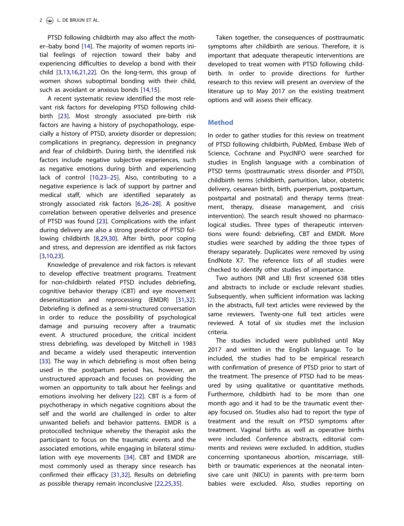<span id="page-2-0"></span>PTSD following childbirth may also affect the mother–baby bond [\[14](#page-9-0)]. The majority of women reports initial feelings of rejection toward their baby and experiencing difficulties to develop a bond with their child [[3,13,16,](#page-9-0)[21,22](#page-10-0)]. On the long-term, this group of women shows suboptimal bonding with their child, such as avoidant or anxious bonds [\[14,15\]](#page-9-0).

A recent systematic review identified the most relevant risk factors for developing PTSD following childbirth [[23\]](#page-10-0). Most strongly associated pre-birth risk factors are having a history of psychopathology, especially a history of PTSD, anxiety disorder or depression; complications in pregnancy, depression in pregnancy and fear of childbirth. During birth, the identified risk factors include negative subjective experiences, such as negative emotions during birth and experiencing lack of control [[10,](#page-9-0)[23](#page-10-0)–25]. Also, contributing to a negative experience is lack of support by partner and medical staff, which are identified separately as strongly associated risk factors [\[6](#page-9-0)[,26](#page-10-0)–28]. A positive correlation between operative deliveries and presence of PTSD was found [[23](#page-10-0)]. Complications with the infant during delivery are also a strong predictor of PTSD following childbirth [\[8](#page-9-0)[,29,30](#page-10-0)]. After birth, poor coping and stress, and depression are identified as risk factors [[3,10](#page-9-0)[,23](#page-10-0)].

Knowledge of prevalence and risk factors is relevant to develop effective treatment programs. Treatment for non-childbirth related PTSD includes debriefing, cognitive behavior therapy (CBT) and eye movement desensitization and reprocessing (EMDR) [\[31,32\]](#page-10-0). Debriefing is defined as a semi-structured conversation in order to reduce the possibility of psychological damage and pursuing recovery after a traumatic event. A structured procedure, the critical incident stress debriefing, was developed by Mitchell in 1983 and became a widely used therapeutic intervention [[33\]](#page-10-0). The way in which debriefing is most often being used in the postpartum period has, however, an unstructured approach and focuses on providing the women an opportunity to talk about her feelings and emotions involving her delivery [\[22\]](#page-10-0). CBT is a form of psychotherapy in which negative cognitions about the self and the world are challenged in order to alter unwanted beliefs and behavior patterns. EMDR is a protocolled technique whereby the therapist asks the participant to focus on the traumatic events and the associated emotions, while engaging in bilateral stimulation with eye movements [[34](#page-10-0)]. CBT and EMDR are most commonly used as therapy since research has confirmed their efficacy [[31,32](#page-10-0)]. Results on debriefing as possible therapy remain inconclusive [\[22,25,35](#page-10-0)].

Taken together, the consequences of posttraumatic symptoms after childbirth are serious. Therefore, it is important that adequate therapeutic interventions are developed to treat women with PTSD following childbirth. In order to provide directions for further research to this review will present an overview of the literature up to May 2017 on the existing treatment options and will assess their efficacy.

#### Method

In order to gather studies for this review on treatment of PTSD following childbirth, PubMed, Embase Web of Science, Cochrane and PsycINFO were searched for studies in English language with a combination of PTSD terms (posttraumatic stress disorder and PTSD), childbirth terms (childbirth, parturition, labor, obstetric delivery, cesarean birth, birth, puerperium, postpartum, postpartal and postnatal) and therapy terms (treatment, therapy, disease management, and crisis intervention). The search result showed no pharmacological studies. Three types of therapeutic interventions were found: debriefing, CBT and EMDR. More studies were searched by adding the three types of therapy separately. Duplicates were removed by using EndNote X7. The reference lists of all studies were checked to identify other studies of importance.

Two authors (NR and LB) first screened 638 titles and abstracts to include or exclude relevant studies. Subsequently, when sufficient information was lacking in the abstracts, full text articles were reviewed by the same reviewers. Twenty-one full text articles were reviewed. A total of six studies met the inclusion criteria.

The studies included were published until May 2017 and written in the English language. To be included, the studies had to be empirical research with confirmation of presence of PTSD prior to start of the treatment. The presence of PTSD had to be measured by using qualitative or quantitative methods. Furthermore, childbirth had to be more than one month ago and it had to be the traumatic event therapy focused on. Studies also had to report the type of treatment and the result on PTSD symptoms after treatment. Vaginal births as well as operative births were included. Conference abstracts, editorial comments and reviews were excluded. In addition, studies concerning spontaneous abortion, miscarriage, stillbirth or traumatic experiences at the neonatal intensive care unit (NICU) in parents with pre-term born babies were excluded. Also, studies reporting on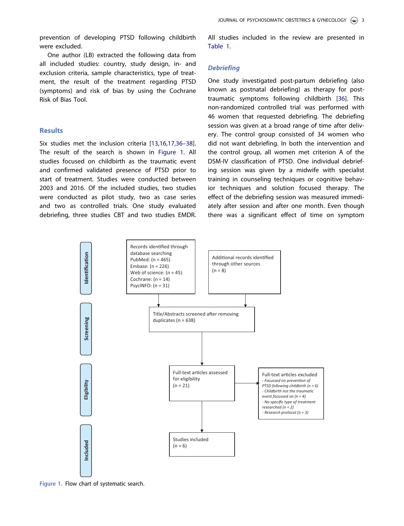<span id="page-3-0"></span>prevention of developing PTSD following childbirth were excluded.

One author (LB) extracted the following data from all included studies: country, study design, in- and exclusion criteria, sample characteristics, type of treatment, the result of the treatment regarding PTSD (symptoms) and risk of bias by using the Cochrane Risk of Bias Tool.

#### **Results**

Six studies met the inclusion criteria [\[13,16,17](#page-9-0)[,36](#page-10-0)–38]. The result of the search is shown in Figure 1. All studies focused on childbirth as the traumatic event and confirmed validated presence of PTSD prior to start of treatment. Studies were conducted between 2003 and 2016. Of the included studies, two studies were conducted as pilot study, two as case series and two as controlled trials. One study evaluated debriefing, three studies CBT and two studies EMDR. All studies included in the review are presented in [Table 1](#page-4-0).

#### **Debriefing**

One study investigated post-partum debriefing (also known as postnatal debriefing) as therapy for posttraumatic symptoms following childbirth [\[36](#page-10-0)]. This non-randomized controlled trial was performed with 46 women that requested debriefing. The debriefing session was given at a broad range of time after delivery. The control group consisted of 34 women who did not want debriefing. In both the intervention and the control group, all women met criterion A of the DSM-IV classification of PTSD. One individual debriefing session was given by a midwife with specialist training in counseling techniques or cognitive behavior techniques and solution focused therapy. The effect of the debriefing session was measured immediately after session and after one month. Even though there was a significant effect of time on symptom



Figure 1. Flow chart of systematic search.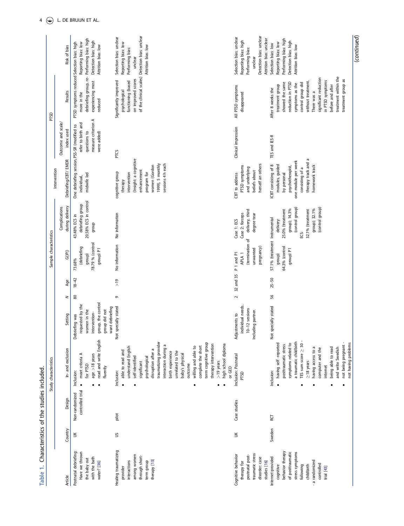<span id="page-4-0"></span>

|                                                                                                                                                                                                                                                                                  |                  |                                    | Study characteristics                                                                                                                                                                                                                                                                                                                                                                             |                                                                                                                               |              |               | Sample characteristics                                                                                                                                           |                                                                                                                                                                                                       | Intervention                                                                                                                                                                                                                                             |                                                                          | PTSD                                                                                                                                                                                                                                                                                                         |                                                                                                                                                                                                                                                            |
|----------------------------------------------------------------------------------------------------------------------------------------------------------------------------------------------------------------------------------------------------------------------------------|------------------|------------------------------------|---------------------------------------------------------------------------------------------------------------------------------------------------------------------------------------------------------------------------------------------------------------------------------------------------------------------------------------------------------------------------------------------------|-------------------------------------------------------------------------------------------------------------------------------|--------------|---------------|------------------------------------------------------------------------------------------------------------------------------------------------------------------|-------------------------------------------------------------------------------------------------------------------------------------------------------------------------------------------------------|----------------------------------------------------------------------------------------------------------------------------------------------------------------------------------------------------------------------------------------------------------|--------------------------------------------------------------------------|--------------------------------------------------------------------------------------------------------------------------------------------------------------------------------------------------------------------------------------------------------------------------------------------------------------|------------------------------------------------------------------------------------------------------------------------------------------------------------------------------------------------------------------------------------------------------------|
| Article                                                                                                                                                                                                                                                                          | Country          | Design                             | In- and exclusion                                                                                                                                                                                                                                                                                                                                                                                 | Setting                                                                                                                       | z            | Age           | GOP()                                                                                                                                                            | during delivery<br>Complications                                                                                                                                                                      | Debriefing/CBT/ EMDR                                                                                                                                                                                                                                     | Outcome and scale/<br>index used                                         | <b>Results</b>                                                                                                                                                                                                                                                                                               | Risk of bias                                                                                                                                                                                                                                               |
| Postnatal debriefing:<br>Have we thrown<br>with the bath<br>the baby out<br>water? [36]                                                                                                                                                                                          | š                | controlled trial<br>Non-randomized | read and write English<br>meet criteria A<br>$age > 18$ years<br>for PTSD<br>fluently<br>Inclusion:                                                                                                                                                                                                                                                                                               | group, the control<br>requested by the<br>want debriefing<br>women in the<br>group did not<br>intervention-<br>Debriefing was | $\pmb{8}$    | $18 - 42$     | 78.79 % (control<br>(debriefing<br>group) P1<br>group)<br>73.68%                                                                                                 | 20.58% ECS in control<br>debriefing group<br>43.48% ECS in<br>qroup                                                                                                                                   | One debriefing session, PSS-SR (modified to<br>midwife led<br>individual,                                                                                                                                                                                | measure criterion A<br>refer to birth and<br>questions to<br>were added) | PTSD symptoms reduced Selection bias: high<br>debriefing group, re-<br>experiencing most<br>more in the<br>reduced                                                                                                                                                                                           | Performing bias: high<br>Detection bias: high<br>Reporting bias: low<br>Attrition bias: low                                                                                                                                                                |
| Healing traumatizing<br>among women<br>through short-<br>therapy [13]<br>interactions<br>term group<br>provider                                                                                                                                                                  | S                | pilot                              | traumatizing provider<br>term cognitive group<br>therapy intervention<br>high school diploma<br>interaction during a<br>complete the short<br>willing and able to<br>understand English<br>disruption after a<br>able to read and<br>birth experience<br>unrelated to the<br>baby's physical<br>self-identified<br>psychological<br>significant<br>$>19$ years<br>outcome<br>or GED<br>Inclusion: | Not specially stated                                                                                                          | G            | $\frac{9}{1}$ | No information                                                                                                                                                   | No information                                                                                                                                                                                        | (Insight: a cognitive<br>sessions 4h each<br>1999), 5 monthly<br>women (Gordon<br>enhancement<br>cognitive group<br>program for<br>intervention<br>therapy                                                                                               | PTCS                                                                     | on improved scores<br>Significantly improved<br>functioning (based<br>psychological                                                                                                                                                                                                                          | of the clinical scales) Detection bias: unclear<br>Selection bias: unclear<br>Reporting bias: low<br>Attrition bias: low<br>Performing bias:<br>unclear                                                                                                    |
| behavior therapy<br>stress symptoms<br>of posttraumatic<br>traumatic stress<br>Cognitive behavior<br>postnatal post-<br>Internet-provided<br>disorder: case<br>- a randomized<br>studies [16]<br>therapy for<br>controlled<br>cognitive<br>following<br>childbirth<br>trial [43] | Sweden<br>$\leq$ | Case studies<br>RCT                | a traumatic childbirth<br>not being pregnant -<br>having self-reported<br>symptoms related to<br>not having problems<br>TES sum score $\geq 30$<br>posttraumatic stress<br>being able to read<br>having access to a<br>and write Swedish<br>computer and the<br>Inclusion: Postnatal<br>$\geq$ 18 years<br>internet<br>Inclusion:<br>PTSD                                                         | individual needs.<br>Not specially stated<br>$10-12$ sessions<br>Including partner.<br>Adjustments to                         | 95<br>$\sim$ | $25 - 50$     | 57.1% (treatment Instrumental<br>(termination of<br>64.3% (control<br>pregnancy)<br>unwanted<br>group) P1<br>32 and 35 P 1 and P1<br>APLA <sub>1</sub><br>group) | (control group)<br>(control group)<br>25.0% (treatment<br>32.1% (treatment<br>group); 32.1%<br>delivery, third<br>group); 14.3%<br>Case 2: forceps<br>degree tear<br>Case 1: ECS<br>delivery:<br>ECS: | therapy track and a<br>one module per week<br>herself an others<br>ICBT consisting of 8<br>modules, guided<br>homework track<br>psychotherapist,<br>PTSD symptoms<br>and underlying<br>consisting of a<br>beliefs about<br>by personal<br>CBT to address | Clinical impression<br>TES and IES-R                                     | treatment within the<br>significant reduction<br>treatment group as<br>in PTSD symptoms<br>without treatment.<br>reduction in PTSD<br>showed the same<br>control group did<br>symptoms as the<br>treatment group<br>before and after<br>All PTSD symptoms<br>After 8 weeks the<br>There was a<br>disappeared | Detection bias: unclear<br>Selection bias: unclear<br>Attrition bias: unclear<br>Performing bias: high<br>Reporting bias: high<br>Detection bias: high<br>Reporting bias: low<br>Selection bias: low<br>Attrition bias: low<br>Performing bias:<br>unclear |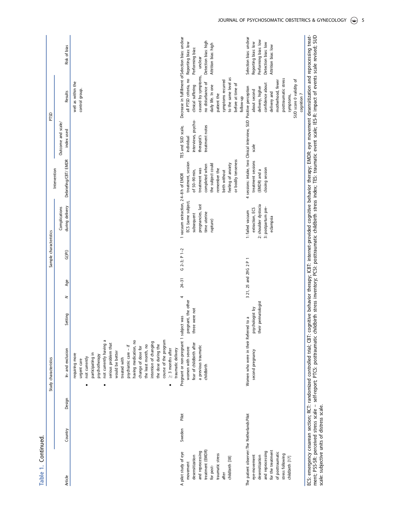| ٠ |
|---|
|   |
|   |
|   |
|   |
|   |
|   |

| Decrease in fulfillment of Selection bias: unclear<br>Selection bias: unclear<br>Performing bias: low<br>Detection bias: high<br>Reporting bias: low<br>Reporting bias: low<br>Detection bias: low<br>Attrition bias: high<br>Attrition bias: low<br>Risk of bias<br>Performing bias:<br>unclear<br>caused by symptoms,<br>to the same level as<br>all PTSD criteria, no<br>posttraumatic stress<br>SUD score 0 validity of<br>symptoms recurred<br>motherhood, fewer<br>well as within the<br>no disturbance of<br>before at time of<br>confidence about<br>daily life. In one<br>clinical suffering<br>4 sessions: intake, two Clinical interview, SUD Positive perception<br>delivery, higher<br>control group.<br>about second<br><b>Results</b><br>delivery and<br>patient the<br>cognition 7<br>symptoms,<br>follow-up<br>interviews, psycho-<br>Outcome and scale/<br>treatment notes<br>TES and SUD scale,<br>index used<br>therapist's<br>individual<br>scale<br>or bodily tenseness<br>Debriefing/CBT/ EMDR<br>treatment sessions<br>treatment, session<br>the subject could<br>feeling of anxiety<br>completed when<br>treatment was<br>closing session<br>remember the<br>Intervention<br>(EMDR) and a<br>of 50-90 min,<br>birth without<br>1 vacuum extraction, 24-8h of EMDR<br>ECS (same subject,<br>pregnancies, last<br>2: shoulder dystocia<br>during delivery<br>3: postpartum pre-<br>Complications<br>extraction, ECS<br>1: failed vacuum<br>time uterine<br>subsequent<br>eclampsia<br>rupture)<br>$G$ 2-3; P 1-2<br>GOP()<br>3 21, 25 and 29G 2 P 1<br>$24 - 31$<br>Age<br>z<br>pregnant, the other<br>three were not<br>their perinatologist<br>psychologist by<br>Setting<br>Pregnant or non-pregnant 1 subject was<br>Women who were in their Referred to a<br>not currently having a<br>having medication, no<br>course of the program<br>intention of changing<br>fear of childbirth after<br>serious problem that<br>the dose during the<br>the least month, no<br>psychiatric care - if<br>a previous traumatic<br>change of dose for<br>women with severe<br>traumatic delivery<br>In-and exclusion<br>$\geq$ 3 months after<br>second pregnancy<br>would be better<br>participating in<br>requiring more<br>psychotherapy<br>not currently<br>treated with<br>urgent care<br>childbirth<br>$\bullet$<br>¢<br>Design<br>Pilot<br>The patient observer: The NetherlandsPilot<br>Sweden<br>Country<br>treatment (EMDR)<br>for the treatment<br>and reprocessing<br>and reprocessing<br>A pilot study of eye<br>of posttraumatic<br>traumatic stress<br>stress following<br>eye-movement<br>desensitization<br>desensitization<br>childbirth [17]<br>childbirth [38]<br>movement<br>for post-<br>after<br>Article |                                                                                                                                                                                                                          |                                            |  | Study characteristics |  | Sample characteristics |  | PTSD |  |
|-----------------------------------------------------------------------------------------------------------------------------------------------------------------------------------------------------------------------------------------------------------------------------------------------------------------------------------------------------------------------------------------------------------------------------------------------------------------------------------------------------------------------------------------------------------------------------------------------------------------------------------------------------------------------------------------------------------------------------------------------------------------------------------------------------------------------------------------------------------------------------------------------------------------------------------------------------------------------------------------------------------------------------------------------------------------------------------------------------------------------------------------------------------------------------------------------------------------------------------------------------------------------------------------------------------------------------------------------------------------------------------------------------------------------------------------------------------------------------------------------------------------------------------------------------------------------------------------------------------------------------------------------------------------------------------------------------------------------------------------------------------------------------------------------------------------------------------------------------------------------------------------------------------------------------------------------------------------------------------------------------------------------------------------------------------------------------------------------------------------------------------------------------------------------------------------------------------------------------------------------------------------------------------------------------------------------------------------------------------------------------------------------------------------------------------------------------------------------------------------------------------------------------------------------------------------------------------------------------------------------------------------------------------------------------------------------------------------------------------------------|--------------------------------------------------------------------------------------------------------------------------------------------------------------------------------------------------------------------------|--------------------------------------------|--|-----------------------|--|------------------------|--|------|--|
|                                                                                                                                                                                                                                                                                                                                                                                                                                                                                                                                                                                                                                                                                                                                                                                                                                                                                                                                                                                                                                                                                                                                                                                                                                                                                                                                                                                                                                                                                                                                                                                                                                                                                                                                                                                                                                                                                                                                                                                                                                                                                                                                                                                                                                                                                                                                                                                                                                                                                                                                                                                                                                                                                                                                               |                                                                                                                                                                                                                          |                                            |  |                       |  |                        |  |      |  |
|                                                                                                                                                                                                                                                                                                                                                                                                                                                                                                                                                                                                                                                                                                                                                                                                                                                                                                                                                                                                                                                                                                                                                                                                                                                                                                                                                                                                                                                                                                                                                                                                                                                                                                                                                                                                                                                                                                                                                                                                                                                                                                                                                                                                                                                                                                                                                                                                                                                                                                                                                                                                                                                                                                                                               |                                                                                                                                                                                                                          |                                            |  |                       |  |                        |  |      |  |
|                                                                                                                                                                                                                                                                                                                                                                                                                                                                                                                                                                                                                                                                                                                                                                                                                                                                                                                                                                                                                                                                                                                                                                                                                                                                                                                                                                                                                                                                                                                                                                                                                                                                                                                                                                                                                                                                                                                                                                                                                                                                                                                                                                                                                                                                                                                                                                                                                                                                                                                                                                                                                                                                                                                                               |                                                                                                                                                                                                                          |                                            |  |                       |  |                        |  |      |  |
|                                                                                                                                                                                                                                                                                                                                                                                                                                                                                                                                                                                                                                                                                                                                                                                                                                                                                                                                                                                                                                                                                                                                                                                                                                                                                                                                                                                                                                                                                                                                                                                                                                                                                                                                                                                                                                                                                                                                                                                                                                                                                                                                                                                                                                                                                                                                                                                                                                                                                                                                                                                                                                                                                                                                               |                                                                                                                                                                                                                          |                                            |  |                       |  |                        |  |      |  |
|                                                                                                                                                                                                                                                                                                                                                                                                                                                                                                                                                                                                                                                                                                                                                                                                                                                                                                                                                                                                                                                                                                                                                                                                                                                                                                                                                                                                                                                                                                                                                                                                                                                                                                                                                                                                                                                                                                                                                                                                                                                                                                                                                                                                                                                                                                                                                                                                                                                                                                                                                                                                                                                                                                                                               |                                                                                                                                                                                                                          |                                            |  |                       |  |                        |  |      |  |
|                                                                                                                                                                                                                                                                                                                                                                                                                                                                                                                                                                                                                                                                                                                                                                                                                                                                                                                                                                                                                                                                                                                                                                                                                                                                                                                                                                                                                                                                                                                                                                                                                                                                                                                                                                                                                                                                                                                                                                                                                                                                                                                                                                                                                                                                                                                                                                                                                                                                                                                                                                                                                                                                                                                                               |                                                                                                                                                                                                                          |                                            |  |                       |  |                        |  |      |  |
|                                                                                                                                                                                                                                                                                                                                                                                                                                                                                                                                                                                                                                                                                                                                                                                                                                                                                                                                                                                                                                                                                                                                                                                                                                                                                                                                                                                                                                                                                                                                                                                                                                                                                                                                                                                                                                                                                                                                                                                                                                                                                                                                                                                                                                                                                                                                                                                                                                                                                                                                                                                                                                                                                                                                               |                                                                                                                                                                                                                          |                                            |  |                       |  |                        |  |      |  |
|                                                                                                                                                                                                                                                                                                                                                                                                                                                                                                                                                                                                                                                                                                                                                                                                                                                                                                                                                                                                                                                                                                                                                                                                                                                                                                                                                                                                                                                                                                                                                                                                                                                                                                                                                                                                                                                                                                                                                                                                                                                                                                                                                                                                                                                                                                                                                                                                                                                                                                                                                                                                                                                                                                                                               |                                                                                                                                                                                                                          |                                            |  |                       |  |                        |  |      |  |
|                                                                                                                                                                                                                                                                                                                                                                                                                                                                                                                                                                                                                                                                                                                                                                                                                                                                                                                                                                                                                                                                                                                                                                                                                                                                                                                                                                                                                                                                                                                                                                                                                                                                                                                                                                                                                                                                                                                                                                                                                                                                                                                                                                                                                                                                                                                                                                                                                                                                                                                                                                                                                                                                                                                                               |                                                                                                                                                                                                                          |                                            |  |                       |  |                        |  |      |  |
|                                                                                                                                                                                                                                                                                                                                                                                                                                                                                                                                                                                                                                                                                                                                                                                                                                                                                                                                                                                                                                                                                                                                                                                                                                                                                                                                                                                                                                                                                                                                                                                                                                                                                                                                                                                                                                                                                                                                                                                                                                                                                                                                                                                                                                                                                                                                                                                                                                                                                                                                                                                                                                                                                                                                               |                                                                                                                                                                                                                          |                                            |  |                       |  |                        |  |      |  |
|                                                                                                                                                                                                                                                                                                                                                                                                                                                                                                                                                                                                                                                                                                                                                                                                                                                                                                                                                                                                                                                                                                                                                                                                                                                                                                                                                                                                                                                                                                                                                                                                                                                                                                                                                                                                                                                                                                                                                                                                                                                                                                                                                                                                                                                                                                                                                                                                                                                                                                                                                                                                                                                                                                                                               |                                                                                                                                                                                                                          |                                            |  |                       |  |                        |  |      |  |
|                                                                                                                                                                                                                                                                                                                                                                                                                                                                                                                                                                                                                                                                                                                                                                                                                                                                                                                                                                                                                                                                                                                                                                                                                                                                                                                                                                                                                                                                                                                                                                                                                                                                                                                                                                                                                                                                                                                                                                                                                                                                                                                                                                                                                                                                                                                                                                                                                                                                                                                                                                                                                                                                                                                                               |                                                                                                                                                                                                                          |                                            |  |                       |  |                        |  |      |  |
|                                                                                                                                                                                                                                                                                                                                                                                                                                                                                                                                                                                                                                                                                                                                                                                                                                                                                                                                                                                                                                                                                                                                                                                                                                                                                                                                                                                                                                                                                                                                                                                                                                                                                                                                                                                                                                                                                                                                                                                                                                                                                                                                                                                                                                                                                                                                                                                                                                                                                                                                                                                                                                                                                                                                               |                                                                                                                                                                                                                          |                                            |  |                       |  |                        |  |      |  |
|                                                                                                                                                                                                                                                                                                                                                                                                                                                                                                                                                                                                                                                                                                                                                                                                                                                                                                                                                                                                                                                                                                                                                                                                                                                                                                                                                                                                                                                                                                                                                                                                                                                                                                                                                                                                                                                                                                                                                                                                                                                                                                                                                                                                                                                                                                                                                                                                                                                                                                                                                                                                                                                                                                                                               |                                                                                                                                                                                                                          |                                            |  |                       |  |                        |  |      |  |
|                                                                                                                                                                                                                                                                                                                                                                                                                                                                                                                                                                                                                                                                                                                                                                                                                                                                                                                                                                                                                                                                                                                                                                                                                                                                                                                                                                                                                                                                                                                                                                                                                                                                                                                                                                                                                                                                                                                                                                                                                                                                                                                                                                                                                                                                                                                                                                                                                                                                                                                                                                                                                                                                                                                                               |                                                                                                                                                                                                                          |                                            |  |                       |  |                        |  |      |  |
|                                                                                                                                                                                                                                                                                                                                                                                                                                                                                                                                                                                                                                                                                                                                                                                                                                                                                                                                                                                                                                                                                                                                                                                                                                                                                                                                                                                                                                                                                                                                                                                                                                                                                                                                                                                                                                                                                                                                                                                                                                                                                                                                                                                                                                                                                                                                                                                                                                                                                                                                                                                                                                                                                                                                               |                                                                                                                                                                                                                          |                                            |  |                       |  |                        |  |      |  |
|                                                                                                                                                                                                                                                                                                                                                                                                                                                                                                                                                                                                                                                                                                                                                                                                                                                                                                                                                                                                                                                                                                                                                                                                                                                                                                                                                                                                                                                                                                                                                                                                                                                                                                                                                                                                                                                                                                                                                                                                                                                                                                                                                                                                                                                                                                                                                                                                                                                                                                                                                                                                                                                                                                                                               |                                                                                                                                                                                                                          |                                            |  |                       |  |                        |  |      |  |
|                                                                                                                                                                                                                                                                                                                                                                                                                                                                                                                                                                                                                                                                                                                                                                                                                                                                                                                                                                                                                                                                                                                                                                                                                                                                                                                                                                                                                                                                                                                                                                                                                                                                                                                                                                                                                                                                                                                                                                                                                                                                                                                                                                                                                                                                                                                                                                                                                                                                                                                                                                                                                                                                                                                                               |                                                                                                                                                                                                                          |                                            |  |                       |  |                        |  |      |  |
|                                                                                                                                                                                                                                                                                                                                                                                                                                                                                                                                                                                                                                                                                                                                                                                                                                                                                                                                                                                                                                                                                                                                                                                                                                                                                                                                                                                                                                                                                                                                                                                                                                                                                                                                                                                                                                                                                                                                                                                                                                                                                                                                                                                                                                                                                                                                                                                                                                                                                                                                                                                                                                                                                                                                               |                                                                                                                                                                                                                          |                                            |  |                       |  |                        |  |      |  |
|                                                                                                                                                                                                                                                                                                                                                                                                                                                                                                                                                                                                                                                                                                                                                                                                                                                                                                                                                                                                                                                                                                                                                                                                                                                                                                                                                                                                                                                                                                                                                                                                                                                                                                                                                                                                                                                                                                                                                                                                                                                                                                                                                                                                                                                                                                                                                                                                                                                                                                                                                                                                                                                                                                                                               |                                                                                                                                                                                                                          |                                            |  |                       |  |                        |  |      |  |
|                                                                                                                                                                                                                                                                                                                                                                                                                                                                                                                                                                                                                                                                                                                                                                                                                                                                                                                                                                                                                                                                                                                                                                                                                                                                                                                                                                                                                                                                                                                                                                                                                                                                                                                                                                                                                                                                                                                                                                                                                                                                                                                                                                                                                                                                                                                                                                                                                                                                                                                                                                                                                                                                                                                                               |                                                                                                                                                                                                                          |                                            |  |                       |  |                        |  |      |  |
|                                                                                                                                                                                                                                                                                                                                                                                                                                                                                                                                                                                                                                                                                                                                                                                                                                                                                                                                                                                                                                                                                                                                                                                                                                                                                                                                                                                                                                                                                                                                                                                                                                                                                                                                                                                                                                                                                                                                                                                                                                                                                                                                                                                                                                                                                                                                                                                                                                                                                                                                                                                                                                                                                                                                               |                                                                                                                                                                                                                          |                                            |  |                       |  |                        |  |      |  |
|                                                                                                                                                                                                                                                                                                                                                                                                                                                                                                                                                                                                                                                                                                                                                                                                                                                                                                                                                                                                                                                                                                                                                                                                                                                                                                                                                                                                                                                                                                                                                                                                                                                                                                                                                                                                                                                                                                                                                                                                                                                                                                                                                                                                                                                                                                                                                                                                                                                                                                                                                                                                                                                                                                                                               |                                                                                                                                                                                                                          |                                            |  |                       |  |                        |  |      |  |
|                                                                                                                                                                                                                                                                                                                                                                                                                                                                                                                                                                                                                                                                                                                                                                                                                                                                                                                                                                                                                                                                                                                                                                                                                                                                                                                                                                                                                                                                                                                                                                                                                                                                                                                                                                                                                                                                                                                                                                                                                                                                                                                                                                                                                                                                                                                                                                                                                                                                                                                                                                                                                                                                                                                                               |                                                                                                                                                                                                                          |                                            |  |                       |  |                        |  |      |  |
|                                                                                                                                                                                                                                                                                                                                                                                                                                                                                                                                                                                                                                                                                                                                                                                                                                                                                                                                                                                                                                                                                                                                                                                                                                                                                                                                                                                                                                                                                                                                                                                                                                                                                                                                                                                                                                                                                                                                                                                                                                                                                                                                                                                                                                                                                                                                                                                                                                                                                                                                                                                                                                                                                                                                               |                                                                                                                                                                                                                          |                                            |  |                       |  |                        |  |      |  |
|                                                                                                                                                                                                                                                                                                                                                                                                                                                                                                                                                                                                                                                                                                                                                                                                                                                                                                                                                                                                                                                                                                                                                                                                                                                                                                                                                                                                                                                                                                                                                                                                                                                                                                                                                                                                                                                                                                                                                                                                                                                                                                                                                                                                                                                                                                                                                                                                                                                                                                                                                                                                                                                                                                                                               |                                                                                                                                                                                                                          |                                            |  |                       |  |                        |  |      |  |
|                                                                                                                                                                                                                                                                                                                                                                                                                                                                                                                                                                                                                                                                                                                                                                                                                                                                                                                                                                                                                                                                                                                                                                                                                                                                                                                                                                                                                                                                                                                                                                                                                                                                                                                                                                                                                                                                                                                                                                                                                                                                                                                                                                                                                                                                                                                                                                                                                                                                                                                                                                                                                                                                                                                                               |                                                                                                                                                                                                                          |                                            |  |                       |  |                        |  |      |  |
|                                                                                                                                                                                                                                                                                                                                                                                                                                                                                                                                                                                                                                                                                                                                                                                                                                                                                                                                                                                                                                                                                                                                                                                                                                                                                                                                                                                                                                                                                                                                                                                                                                                                                                                                                                                                                                                                                                                                                                                                                                                                                                                                                                                                                                                                                                                                                                                                                                                                                                                                                                                                                                                                                                                                               |                                                                                                                                                                                                                          |                                            |  |                       |  |                        |  |      |  |
|                                                                                                                                                                                                                                                                                                                                                                                                                                                                                                                                                                                                                                                                                                                                                                                                                                                                                                                                                                                                                                                                                                                                                                                                                                                                                                                                                                                                                                                                                                                                                                                                                                                                                                                                                                                                                                                                                                                                                                                                                                                                                                                                                                                                                                                                                                                                                                                                                                                                                                                                                                                                                                                                                                                                               |                                                                                                                                                                                                                          |                                            |  |                       |  |                        |  |      |  |
|                                                                                                                                                                                                                                                                                                                                                                                                                                                                                                                                                                                                                                                                                                                                                                                                                                                                                                                                                                                                                                                                                                                                                                                                                                                                                                                                                                                                                                                                                                                                                                                                                                                                                                                                                                                                                                                                                                                                                                                                                                                                                                                                                                                                                                                                                                                                                                                                                                                                                                                                                                                                                                                                                                                                               |                                                                                                                                                                                                                          |                                            |  |                       |  |                        |  |      |  |
|                                                                                                                                                                                                                                                                                                                                                                                                                                                                                                                                                                                                                                                                                                                                                                                                                                                                                                                                                                                                                                                                                                                                                                                                                                                                                                                                                                                                                                                                                                                                                                                                                                                                                                                                                                                                                                                                                                                                                                                                                                                                                                                                                                                                                                                                                                                                                                                                                                                                                                                                                                                                                                                                                                                                               |                                                                                                                                                                                                                          |                                            |  |                       |  |                        |  |      |  |
|                                                                                                                                                                                                                                                                                                                                                                                                                                                                                                                                                                                                                                                                                                                                                                                                                                                                                                                                                                                                                                                                                                                                                                                                                                                                                                                                                                                                                                                                                                                                                                                                                                                                                                                                                                                                                                                                                                                                                                                                                                                                                                                                                                                                                                                                                                                                                                                                                                                                                                                                                                                                                                                                                                                                               |                                                                                                                                                                                                                          |                                            |  |                       |  |                        |  |      |  |
|                                                                                                                                                                                                                                                                                                                                                                                                                                                                                                                                                                                                                                                                                                                                                                                                                                                                                                                                                                                                                                                                                                                                                                                                                                                                                                                                                                                                                                                                                                                                                                                                                                                                                                                                                                                                                                                                                                                                                                                                                                                                                                                                                                                                                                                                                                                                                                                                                                                                                                                                                                                                                                                                                                                                               |                                                                                                                                                                                                                          |                                            |  |                       |  |                        |  |      |  |
|                                                                                                                                                                                                                                                                                                                                                                                                                                                                                                                                                                                                                                                                                                                                                                                                                                                                                                                                                                                                                                                                                                                                                                                                                                                                                                                                                                                                                                                                                                                                                                                                                                                                                                                                                                                                                                                                                                                                                                                                                                                                                                                                                                                                                                                                                                                                                                                                                                                                                                                                                                                                                                                                                                                                               |                                                                                                                                                                                                                          |                                            |  |                       |  |                        |  |      |  |
|                                                                                                                                                                                                                                                                                                                                                                                                                                                                                                                                                                                                                                                                                                                                                                                                                                                                                                                                                                                                                                                                                                                                                                                                                                                                                                                                                                                                                                                                                                                                                                                                                                                                                                                                                                                                                                                                                                                                                                                                                                                                                                                                                                                                                                                                                                                                                                                                                                                                                                                                                                                                                                                                                                                                               |                                                                                                                                                                                                                          |                                            |  |                       |  |                        |  |      |  |
|                                                                                                                                                                                                                                                                                                                                                                                                                                                                                                                                                                                                                                                                                                                                                                                                                                                                                                                                                                                                                                                                                                                                                                                                                                                                                                                                                                                                                                                                                                                                                                                                                                                                                                                                                                                                                                                                                                                                                                                                                                                                                                                                                                                                                                                                                                                                                                                                                                                                                                                                                                                                                                                                                                                                               |                                                                                                                                                                                                                          |                                            |  |                       |  |                        |  |      |  |
|                                                                                                                                                                                                                                                                                                                                                                                                                                                                                                                                                                                                                                                                                                                                                                                                                                                                                                                                                                                                                                                                                                                                                                                                                                                                                                                                                                                                                                                                                                                                                                                                                                                                                                                                                                                                                                                                                                                                                                                                                                                                                                                                                                                                                                                                                                                                                                                                                                                                                                                                                                                                                                                                                                                                               |                                                                                                                                                                                                                          |                                            |  |                       |  |                        |  |      |  |
|                                                                                                                                                                                                                                                                                                                                                                                                                                                                                                                                                                                                                                                                                                                                                                                                                                                                                                                                                                                                                                                                                                                                                                                                                                                                                                                                                                                                                                                                                                                                                                                                                                                                                                                                                                                                                                                                                                                                                                                                                                                                                                                                                                                                                                                                                                                                                                                                                                                                                                                                                                                                                                                                                                                                               |                                                                                                                                                                                                                          |                                            |  |                       |  |                        |  |      |  |
|                                                                                                                                                                                                                                                                                                                                                                                                                                                                                                                                                                                                                                                                                                                                                                                                                                                                                                                                                                                                                                                                                                                                                                                                                                                                                                                                                                                                                                                                                                                                                                                                                                                                                                                                                                                                                                                                                                                                                                                                                                                                                                                                                                                                                                                                                                                                                                                                                                                                                                                                                                                                                                                                                                                                               |                                                                                                                                                                                                                          |                                            |  |                       |  |                        |  |      |  |
|                                                                                                                                                                                                                                                                                                                                                                                                                                                                                                                                                                                                                                                                                                                                                                                                                                                                                                                                                                                                                                                                                                                                                                                                                                                                                                                                                                                                                                                                                                                                                                                                                                                                                                                                                                                                                                                                                                                                                                                                                                                                                                                                                                                                                                                                                                                                                                                                                                                                                                                                                                                                                                                                                                                                               |                                                                                                                                                                                                                          |                                            |  |                       |  |                        |  |      |  |
|                                                                                                                                                                                                                                                                                                                                                                                                                                                                                                                                                                                                                                                                                                                                                                                                                                                                                                                                                                                                                                                                                                                                                                                                                                                                                                                                                                                                                                                                                                                                                                                                                                                                                                                                                                                                                                                                                                                                                                                                                                                                                                                                                                                                                                                                                                                                                                                                                                                                                                                                                                                                                                                                                                                                               |                                                                                                                                                                                                                          |                                            |  |                       |  |                        |  |      |  |
|                                                                                                                                                                                                                                                                                                                                                                                                                                                                                                                                                                                                                                                                                                                                                                                                                                                                                                                                                                                                                                                                                                                                                                                                                                                                                                                                                                                                                                                                                                                                                                                                                                                                                                                                                                                                                                                                                                                                                                                                                                                                                                                                                                                                                                                                                                                                                                                                                                                                                                                                                                                                                                                                                                                                               |                                                                                                                                                                                                                          |                                            |  |                       |  |                        |  |      |  |
|                                                                                                                                                                                                                                                                                                                                                                                                                                                                                                                                                                                                                                                                                                                                                                                                                                                                                                                                                                                                                                                                                                                                                                                                                                                                                                                                                                                                                                                                                                                                                                                                                                                                                                                                                                                                                                                                                                                                                                                                                                                                                                                                                                                                                                                                                                                                                                                                                                                                                                                                                                                                                                                                                                                                               | ment; PSS-SR: perceived stress scale – self-report; PTCS: posttraumatic childbirth stress inventory; PCSI: posttraumatic childbirth stress index; TES: traumatic event scale; IES-R: impact of events scale revised; SUD |                                            |  |                       |  |                        |  |      |  |
| ECS: emergency cesarean section; RCT: randomized controlled trial; CBT: cognitive behavior therapy; ICBT: internet-provided cognitive behavior therapy; EMDR: eye movement desensitization and reprocessing treat-                                                                                                                                                                                                                                                                                                                                                                                                                                                                                                                                                                                                                                                                                                                                                                                                                                                                                                                                                                                                                                                                                                                                                                                                                                                                                                                                                                                                                                                                                                                                                                                                                                                                                                                                                                                                                                                                                                                                                                                                                                                                                                                                                                                                                                                                                                                                                                                                                                                                                                                            |                                                                                                                                                                                                                          | scale: subjective units of distress scale. |  |                       |  |                        |  |      |  |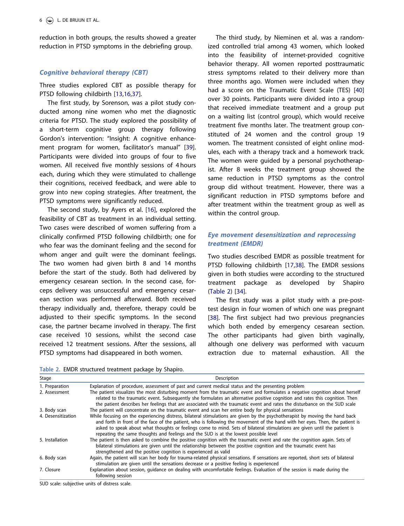<span id="page-6-0"></span>reduction in both groups, the results showed a greater reduction in PTSD symptoms in the debriefing group.

#### Cognitive behavioral therapy (CBT)

Three studies explored CBT as possible therapy for PTSD following childbirth [[13,16](#page-9-0)[,37](#page-10-0)].

The first study, by Sorenson, was a pilot study conducted among nine women who met the diagnostic criteria for PTSD. The study explored the possibility of a short-term cognitive group therapy following Gordon's intervention: "Insight: A cognitive enhancement program for women, facilitator's manual" [[39\]](#page-10-0). Participants were divided into groups of four to five women. All received five monthly sessions of 4 hours each, during which they were stimulated to challenge their cognitions, received feedback, and were able to grow into new coping strategies. After treatment, the PTSD symptoms were significantly reduced.

The second study, by Ayers et al. [\[16](#page-9-0)], explored the feasibility of CBT as treatment in an individual setting. Two cases were described of women suffering from a clinically confirmed PTSD following childbirth; one for who fear was the dominant feeling and the second for whom anger and guilt were the dominant feelings. The two women had given birth 8 and 14 months before the start of the study. Both had delivered by emergency cesarean section. In the second case, forceps delivery was unsuccessful and emergency cesarean section was performed afterward. Both received therapy individually and, therefore, therapy could be adjusted to their specific symptoms. In the second case, the partner became involved in therapy. The first case received 10 sessions, whilst the second case received 12 treatment sessions. After the sessions, all PTSD symptoms had disappeared in both women.

The third study, by Nieminen et al. was a randomized controlled trial among 43 women, which looked into the feasibility of internet-provided cognitive behavior therapy. All women reported posttraumatic stress symptoms related to their delivery more than three months ago. Women were included when they had a score on the Traumatic Event Scale (TES) [[40\]](#page-10-0) over 30 points. Participants were divided into a group that received immediate treatment and a group put on a waiting list (control group), which would receive treatment five months later. The treatment group constituted of 24 women and the control group 19 women. The treatment consisted of eight online modules, each with a therapy track and a homework track. The women were guided by a personal psychotherapist. After 8 weeks the treatment group showed the same reduction in PTSD symptoms as the control group did without treatment. However, there was a significant reduction in PTSD symptoms before and after treatment within the treatment group as well as within the control group.

### Eye movement desensitization and reprocessing treatment (EMDR)

Two studies described EMDR as possible treatment for PTSD following childbirth [[17](#page-9-0)[,38](#page-10-0)]. The EMDR sessions given in both studies were according to the structured treatment package as developed by Shapiro (Table 2) [[34](#page-10-0)].

The first study was a pilot study with a pre-posttest design in four women of which one was pregnant [[38\]](#page-10-0). The first subject had two previous pregnancies which both ended by emergency cesarean section. The other participants had given birth vaginally, although one delivery was performed with vacuum extraction due to maternal exhaustion. All the

Table 2. EMDR structured treatment package by Shapiro.

| Stage              | Description                                                                                                                                                                                                                                                                                                                                                                                                                                                                        |
|--------------------|------------------------------------------------------------------------------------------------------------------------------------------------------------------------------------------------------------------------------------------------------------------------------------------------------------------------------------------------------------------------------------------------------------------------------------------------------------------------------------|
| 1. Preparation     | Explanation of procedure, assessment of past and current medical status and the presenting problem                                                                                                                                                                                                                                                                                                                                                                                 |
| 2. Assessment      | The patient visualizes the most disturbing moment from the traumatic event and formulates a negative cognition about herself<br>related to the traumatic event. Subsequently she formulates an alternative positive cognition and rates this cognition. Then<br>the patient describes her feelings that are associated with the traumatic event and rates the disturbance on the SUD scale                                                                                         |
| 3. Body scan       | The patient will concentrate on the traumatic event and scan her entire body for physical sensations                                                                                                                                                                                                                                                                                                                                                                               |
| 4. Desensitization | While focusing on the experiencing distress, bilateral stimulations are given by the psychotherapist by moving the hand back<br>and forth in front of the face of the patient, who is following the movement of the hand with her eyes. Then, the patient is<br>asked to speak about what thoughts or feelings come to mind. Sets of bilateral stimulations are given until the patient is<br>repeating the same thoughts and feelings and the SUD is at the lowest possible level |
| 5. Installation    | The patient is then asked to combine the positive cognition with the traumatic event and rate the cognition again. Sets of<br>bilateral stimulations are given until the relationship between the positive cognition and the traumatic event has<br>strengthened and the positive cognition is experienced as valid                                                                                                                                                                |
| 6. Body scan       | Again, the patient will scan her body for trauma-related physical sensations. If sensations are reported, short sets of bilateral<br>stimulation are given until the sensations decrease or a positive feeling is experienced                                                                                                                                                                                                                                                      |
| 7. Closure         | Explanation about session, quidance on dealing with uncomfortable feelings. Evaluation of the session is made during the<br>following session                                                                                                                                                                                                                                                                                                                                      |

SUD scale: subjective units of distress scale.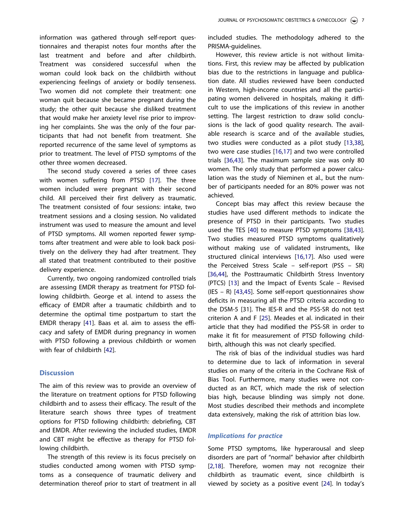<span id="page-7-0"></span>information was gathered through self-report questionnaires and therapist notes four months after the last treatment and before and after childbirth. Treatment was considered successful when the woman could look back on the childbirth without experiencing feelings of anxiety or bodily tenseness. Two women did not complete their treatment: one woman quit because she became pregnant during the study; the other quit because she disliked treatment that would make her anxiety level rise prior to improving her complaints. She was the only of the four participants that had not benefit from treatment. She reported recurrence of the same level of symptoms as prior to treatment. The level of PTSD symptoms of the other three women decreased.

The second study covered a series of three cases with women suffering from PTSD [\[17\]](#page-9-0). The three women included were pregnant with their second child. All perceived their first delivery as traumatic. The treatment consisted of four sessions: intake, two treatment sessions and a closing session. No validated instrument was used to measure the amount and level of PTSD symptoms. All women reported fewer symptoms after treatment and were able to look back positively on the delivery they had after treatment. They all stated that treatment contributed to their positive delivery experience.

Currently, two ongoing randomized controlled trials are assessing EMDR therapy as treatment for PTSD following childbirth. George et al. intend to assess the efficacy of EMDR after a traumatic childbirth and to determine the optimal time postpartum to start the EMDR therapy [[41](#page-10-0)]. Baas et al. aim to assess the efficacy and safety of EMDR during pregnancy in women with PTSD following a previous childbirth or women with fear of childbirth [\[42\]](#page-10-0).

#### **Discussion**

The aim of this review was to provide an overview of the literature on treatment options for PTSD following childbirth and to assess their efficacy. The result of the literature search shows three types of treatment options for PTSD following childbirth: debriefing, CBT and EMDR. After reviewing the included studies, EMDR and CBT might be effective as therapy for PTSD following childbirth.

The strength of this review is its focus precisely on studies conducted among women with PTSD symptoms as a consequence of traumatic delivery and determination thereof prior to start of treatment in all included studies. The methodology adhered to the PRISMA-guidelines.

However, this review article is not without limitations. First, this review may be affected by publication bias due to the restrictions in language and publication date. All studies reviewed have been conducted in Western, high-income countries and all the participating women delivered in hospitals, making it difficult to use the implications of this review in another setting. The largest restriction to draw solid conclusions is the lack of good quality research. The available research is scarce and of the available studies, two studies were conducted as a pilot study [\[13](#page-9-0),[38\]](#page-10-0), two were case studies [[16,17](#page-9-0)] and two were controlled trials [\[36,43\]](#page-10-0). The maximum sample size was only 80 women. The only study that performed a power calculation was the study of Nieminen et al., but the number of participants needed for an 80% power was not achieved.

Concept bias may affect this review because the studies have used different methods to indicate the presence of PTSD in their participants. Two studies used the TES [[40](#page-10-0)] to measure PTSD symptoms [\[38](#page-10-0),[43\]](#page-10-0). Two studies measured PTSD symptoms qualitatively without making use of validated instruments, like structured clinical interviews [\[16,17](#page-9-0)]. Also used were the Perceived Stress Scale – self-report (PSS – SR) [[36,44](#page-10-0)], the Posttraumatic Childbirth Stress Inventory (PTCS) [[13\]](#page-9-0) and the Impact of Events Scale – Revised (IES – R) [\[43,45\]](#page-10-0). Some self-report questionnaires show deficits in measuring all the PTSD criteria according to the DSM-5 [31]. The IES-R and the PSS-SR do not test criterion A and F [\[25\]](#page-10-0). Meades et al. indicated in their article that they had modified the PSS-SR in order to make it fit for measurement of PTSD following childbirth, although this was not clearly specified.

The risk of bias of the individual studies was hard to determine due to lack of information in several studies on many of the criteria in the Cochrane Risk of Bias Tool. Furthermore, many studies were not conducted as an RCT, which made the risk of selection bias high, because blinding was simply not done. Most studies described their methods and incomplete data extensively, making the risk of attrition bias low.

#### Implications for practice

Some PTSD symptoms, like hyperarousal and sleep disorders are part of "normal" behavior after childbirth [[2,18\]](#page-9-0). Therefore, women may not recognize their childbirth as traumatic event, since childbirth is viewed by society as a positive event [[24\]](#page-10-0). In today's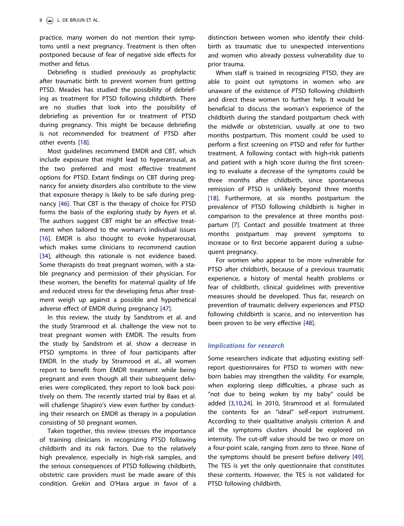<span id="page-8-0"></span>practice, many women do not mention their symptoms until a next pregnancy. Treatment is then often postponed because of fear of negative side effects for mother and fetus.

Debriefing is studied previously as prophylactic after traumatic birth to prevent women from getting PTSD. Meades has studied the possibility of debriefing as treatment for PTSD following childbirth. There are no studies that look into the possibility of debriefing as prevention for or treatment of PTSD during pregnancy. This might be because debriefing is not recommended for treatment of PTSD after other events [[18](#page-9-0)].

Most guidelines recommend EMDR and CBT, which include exposure that might lead to hyperarousal, as the two preferred and most effective treatment options for PTSD. Extant findings on CBT during pregnancy for anxiety disorders also contribute to the view that exposure therapy is likely to be safe during pregnancy [\[46\]](#page-10-0). That CBT is the therapy of choice for PTSD forms the basis of the exploring study by Ayers et al. The authors suggest CBT might be an effective treatment when tailored to the woman's individual issues [[16\]](#page-9-0). EMDR is also thought to evoke hyperarousal, which makes some clinicians to recommend caution [[34\]](#page-10-0), although this rationale is not evidence based. Some therapists do treat pregnant women, with a stable pregnancy and permission of their physician. For these women, the benefits for maternal quality of life and reduced stress for the developing fetus after treatment weigh up against a possible and hypothetical adverse effect of EMDR during pregnancy [[47](#page-10-0)].

In this review, the study by Sandstrom et al. and the study Stramrood et al. challenge the view not to treat pregnant women with EMDR. The results from the study by Sandstrom et al. show a decrease in PTSD symptoms in three of four participants after EMDR. In the study by Stramrood et al., all women report to benefit from EMDR treatment while being pregnant and even though all their subsequent deliveries were complicated, they report to look back positively on them. The recently started trial by Baas et al. will challenge Shapiro's view even further by conducting their research on EMDR as therapy in a population consisting of 50 pregnant women.

Taken together, this review stresses the importance of training clinicians in recognizing PTSD following childbirth and its risk factors. Due to the relatively high prevalence, especially in high-risk samples, and the serious consequences of PTSD following childbirth, obstetric care providers must be made aware of this condition. Grekin and O'Hara argue in favor of a distinction between women who identify their childbirth as traumatic due to unexpected interventions and women who already possess vulnerability due to prior trauma.

When staff is trained in recognizing PTSD, they are able to point out symptoms in women who are unaware of the existence of PTSD following childbirth and direct these women to further help. It would be beneficial to discuss the woman's experience of the childbirth during the standard postpartum check with the midwife or obstetrician, usually at one to two months postpartum. This moment could be used to perform a first screening on PTSD and refer for further treatment. A following contact with high-risk patients and patient with a high score during the first screening to evaluate a decrease of the symptoms could be three months after childbirth, since spontaneous remission of PTSD is unlikely beyond three months [[18\]](#page-9-0). Furthermore, at six months postpartum the prevalence of PTSD following childbirth is higher in comparison to the prevalence at three months postpartum [[7\]](#page-9-0). Contact and possible treatment at three months postpartum may prevent symptoms to increase or to first become apparent during a subsequent pregnancy.

For women who appear to be more vulnerable for PTSD after childbirth, because of a previous traumatic experience, a history of mental health problems or fear of childbirth, clinical guidelines with preventive measures should be developed. Thus far, research on prevention of traumatic delivery experiences and PTSD following childbirth is scarce, and no intervention has been proven to be very effective [[48](#page-10-0)].

#### Implications for research

Some researchers indicate that adjusting existing selfreport questionnaires for PTSD to women with newborn babies may strengthen the validity. For example, when exploring sleep difficulties, a phrase such as "not due to being woken by my baby" could be added [[3,10](#page-9-0)[,24\]](#page-10-0). In 2010, Stramrood et al. formulated the contents for an "ideal" self-report instrument. According to their qualitative analysis criterion A and all the symptoms clusters should be explored on intensity. The cut-off value should be two or more on a four-point scale, ranging from zero to three. None of the symptoms should be present before delivery [[49\]](#page-10-0). The TES is yet the only questionnaire that constitutes these contents. However, the TES is not validated for PTSD following childbirth.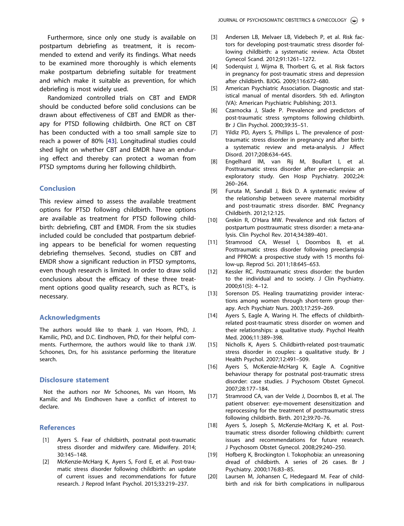<span id="page-9-0"></span>Furthermore, since only one study is available on postpartum debriefing as treatment, it is recommended to extend and verify its findings. What needs to be examined more thoroughly is which elements make postpartum debriefing suitable for treatment and which make it suitable as prevention, for which debriefing is most widely used.

Randomized controlled trials on CBT and EMDR should be conducted before solid conclusions can be drawn about effectiveness of CBT and EMDR as therapy for PTSD following childbirth. One RCT on CBT has been conducted with a too small sample size to reach a power of 80% [[43](#page-10-0)]. Longitudinal studies could shed light on whether CBT and EMDR have an enduring effect and thereby can protect a woman from PTSD symptoms during her following childbirth.

#### Conclusion

This review aimed to assess the available treatment options for PTSD following childbirth. Three options are available as treatment for PTSD following childbirth: debriefing, CBT and EMDR. From the six studies included could be concluded that postpartum debriefing appears to be beneficial for women requesting debriefing themselves. Second, studies on CBT and EMDR show a significant reduction in PTSD symptoms, even though research is limited. In order to draw solid conclusions about the efficacy of these three treatment options good quality research, such as RCT's, is necessary.

#### Acknowledgments

The authors would like to thank J. van Hoorn, PhD, J. Kamilic, PhD, and D.C. Eindhoven, PhD, for their helpful comments. Furthermore, the authors would like to thank J.W. Schoones, Drs, for his assistance performing the literature search.

#### Disclosure statement

Not the authors nor Mr Schoones, Ms van Hoorn, Ms Kamilic and Ms Eindhoven have a conflict of interest to declare.

#### References

- [\[1\]](#page-1-0) Ayers S. Fear of childbirth, postnatal post-traumatic stress disorder and midwifery care. Midwifery. 2014; 30:145–148.
- [\[2\]](#page-1-0) McKenzie-McHarg K, Ayers S, Ford E, et al. Post-traumatic stress disorder following childbirth: an update of current issues and recommendations for future research. J Reprod Infant Psychol. 2015;33:219–237.
- [\[3\]](#page-1-0) Andersen LB, Melvaer LB, Videbech P, et al. Risk factors for developing post-traumatic stress disorder following childbirth: a systematic review. Acta Obstet Gynecol Scand. 2012;91:1261–1272.
- [\[4\]](#page-1-0) Soderquist J, Wijma B, Thorbert G, et al. Risk factors in pregnancy for post-traumatic stress and depression after childbirth. BJOG. 2009;116:672–680.
- [\[5\]](#page-1-0) American Psychiatric Association. Diagnostic and statistical manual of mental disorders. 5th ed. Arlington (VA): American Psychiatric Publishing; 2013.
- [\[6\]](#page-1-0) Czarnocka J, Slade P. Prevalence and predictors of post-traumatic stress symptoms following childbirth. Br J Clin Psychol. 2000;39:35–51.
- [\[7\]](#page-1-0) Yildiz PD, Ayers S, Phillips L. The prevalence of posttraumatic stress disorder in pregnancy and after birth: a systematic review and meta-analysis. J Affect Disord. 2017;208:634–645.
- [\[8\]](#page-1-0) Engelhard IM, van Rij M, Boullart I, et al. Posttraumatic stress disorder after pre-eclampsia: an exploratory study. Gen Hosp Psychiatry. 2002;24: 260–264.
- [9] Furuta M, Sandall J, Bick D. A systematic review of the relationship between severe maternal morbidity and post-traumatic stress disorder. BMC Pregnancy Childbirth. 2012;12:125.
- [\[10\]](#page-1-0) Grekin R, O'Hara MW. Prevalence and risk factors of postpartum posttraumatic stress disorder: a meta-analysis. Clin Psychol Rev. 2014;34:389–401.
- [\[11\]](#page-1-0) Stramrood CA, Wessel I, Doornbos B, et al. Posttraumatic stress disorder following preeclampsia and PPROM: a prospective study with 15 months follow-up. Reprod Sci. 2011;18:645–653.
- [\[12\]](#page-1-0) Kessler RC. Posttraumatic stress disorder: the burden to the individual and to society. J Clin Psychiatry. 2000;61(5): 4–12.
- [\[13\]](#page-1-0) Sorenson DS. Healing traumatizing provider interactions among women through short-term group therapy. Arch Psychiatr Nurs. 2003;17:259–269.
- [\[14\]](#page-1-0) Ayers S, Eagle A, Waring H. The effects of childbirthrelated post-traumatic stress disorder on women and their relationships: a qualitative study. Psychol Health Med. 2006;11:389–398.
- [\[15\]](#page-1-0) Nicholls K, Ayers S. Childbirth-related post-traumatic stress disorder in couples: a qualitative study. Br J Health Psychol. 2007;12:491–509.
- [\[16\]](#page-1-0) Ayers S, McKenzie-McHarg K, Eagle A. Cognitive behaviour therapy for postnatal post-traumatic stress disorder: case studies. J Psychosom Obstet Gynecol. 2007;28:177–184.
- [\[17\]](#page-1-0) Stramrood CA, van der Velde J, Doornbos B, et al. The patient observer: eye-movement desensitization and reprocessing for the treatment of posttraumatic stress following childbirth. Birth. 2012;39:70–76.
- [\[18\]](#page-1-0) Ayers S, Joseph S, McKenzie-McHarg K, et al. Posttraumatic stress disorder following childbirth: current issues and recommendations for future research. J Psychosom Obstet Gynecol. 2008;29:240–250.
- [\[19\]](#page-1-0) Hofberg K, Brockington I. Tokophobia: an unreasoning dread of childbirth. A series of 26 cases. Br J Psychiatry. 2000;176:83–85.
- [\[20\]](#page-1-0) Laursen M, Johansen C, Hedegaard M. Fear of childbirth and risk for birth complications in nulliparous